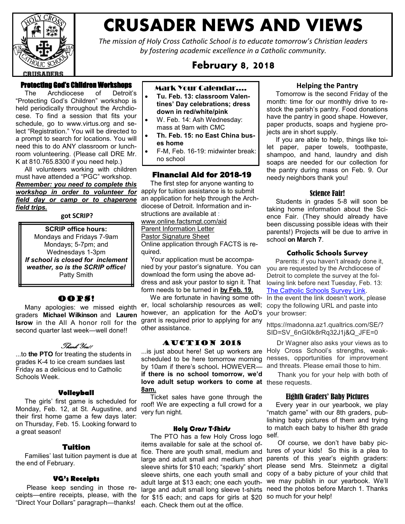

# **CRUSADER NEWS AND VIEWS**

*The mission of Holy Cross Catholic School is to educate tomorrow's Christian leaders by fostering academic excellence in a Catholic community.*

# **February 8, 2018**

# Protecting God's Children Workshops

 The Archdiocese of Detroit's "Protecting God's Children" workshop is held periodically throughout the Archdiocese. To find a session that fits your schedule, go to [www.virtus.org](http://www.virtus.org/) and select "Registration." You will be directed to a prompt to search for locations. You will need this to do ANY classroom or lunchroom volunteering. (Please call DRE Mr. K at 810.765.8300 if you need help.)

 All volunteers working with children must have attended a "PGC" workshop.

*Remember: you need to complete this workshop in order to volunteer for field day or camp or to chaperone field trips.*

**got SCRIP?**

**SCRIP office hours:** Mondays and Fridays 7-9am Mondays; 5-7pm; and Wednesdays 1-3pm *If school is closed for inclement weather, so is the SCRIP office!* Patty Smith

# OOPS!

 Many apologies: we missed eighth graders **Michael Wilkinson** and **Lauren Isrow** in the All A honor roll for the second quarter last week—well done!!

## Thank You!!

...to **the PTO** for treating the students in grades K-4 to ice cream sundaes last Friday as a delicious end to Catholic Schools Week.

#### **Volleyball**

 The girls' first game is scheduled for Monday, Feb. 12, at St. Augustine, and their first home game a few days later: on Thursday, Feb. 15. Looking forward to a great season!

#### Tuition

 Families' last tuition payment is due at the end of February.

#### **VG's Receipts**

 Please keep sending in those receipts—entire receipts, please, with the "Direct Your Dollars" paragraph—thanks!

- Mark Your Calendar….
- **Tu. Feb. 13: classroom Valentines' Day celebrations; dress down in red/white/pink**
- W. Feb. 14: Ash Wednesday: mass at 9am with CMC
- **Th. Feb. 15: no East China buses home**
- F-M, Feb. 16-19: midwinter break: no school

## Financial Aid for 2018-19

 The first step for anyone wanting to apply for tuition assistance is to submit an application for help through the Archdiocese of Detroit. Information and instructions are available at :

[www.online.factsmgt.com/aid](http://www.online.factsmgt.com/aid)

Parent Information Letter

Pastor Signature Sheet

Online application through FACTS is required.

 Your application must be accompanied by your pastor's signature. You can download the form using the above address and ask your pastor to sign it. That form needs to be turned in **by Feb. 19.**

 We are fortunate in having some other, local scholarship resources as well; however, an application for the AoD's grant is required prior to applying for any other assistance.

#### Auction 2018

by 10am if there's school**.** HOWEVER **if there is no school tomorrow, we'd love adult setup workers to come at**  these requests. **8am.**

 Ticket sales have gone through the roof! We are expecting a full crowd for a very fun night.

#### Holy Cross T-Shirts

The PTO has a few Holy Cross logo self. items available for sale at the school offor \$15 each; and caps for girls at \$20 so much for your help! each. Check them out at the office.

#### **Helping the Pantry**

 Tomorrow is the second Friday of the month: time for our monthly drive to restock the parish's pantry. Food donations have the pantry in good shape. However, paper products, soaps and hygiene projects are in short supply.

 If you are able to help, things like toilet paper, paper towels, toothpaste, shampoo, and hand, laundry and dish soaps are needed for our collection for the pantry during mass on Feb. 9. Our needy neighbors thank you!

#### Science Fair!

 Students in grades 5-8 will soon be taking home information about the Science Fair. (They should already have been discussing possible ideas with their parents!) Projects will be due to arrive in school **on March 7**.

#### **Catholic Schools Survey**

 Parents: if you haven't already done it, you are requested by the Archdiocese of Detroit to complete the survey at the following link before next Tuesday, Feb. 13[:](http://madonna.az1.qualtrics.com/jfe/form/SV_6nGI0k8rRq32J1j) [The Catholic Schools Survey Link.](http://madonna.az1.qualtrics.com/jfe/form/SV_6nGI0k8rRq32J1j) In the event the link doesn't work, please copy the following URL and paste into your browser:

https://madonna.az1.qualtrics.com/SE/? SID=SV\_6nGI0k8rRq32J1j&Q\_JFE=0

...is just about here! Set up workers are Holy Cross School's strengths, weakscheduled to be here tomorrow morning nesses, opportunities for improvement Dr Wagner also asks your views as to and threats. Please email those to him.

Thank you for your help with both of

#### Eighth Graders' Baby Pictures

 Every year in our yearbook, we play "match game" with our 8th graders, publishing baby pictures of them and trying to match each baby to his/her 8th grade

fice. There are youth small, medium and tures of your kids! So this is a plea to large and adult small and medium short parents of this year's eighth graders: sleeve shirts for \$10 each; "sparkly" short please send Mrs. Steinmetz a digital sleeve shirts, one each youth small and copy of a baby picture of your child that adult large at \$13 each; one each youth-we may publish in our yearbook. We'll large and adult small long sleeve t-shirts need the photos before March 1. Thanks Of course, we don't have baby pic-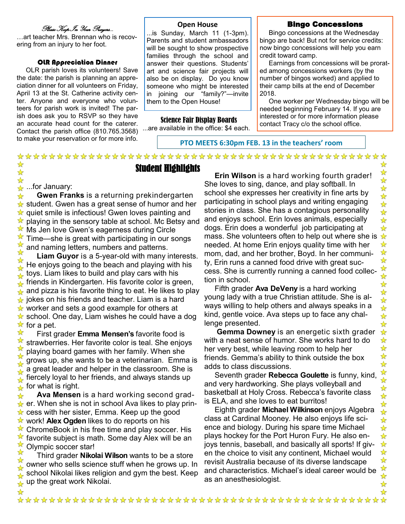# Please Keep In Your Prayers…

…art teacher Mrs. Brennan who is recovering from an injury to her foot.

#### OLR Appreciation Dinner

 OLR parish loves its volunteers! Save the date: the parish is planning an appreciation dinner for all volunteers on Friday, April 13 at the St. Catherine activity center. Anyone and everyone who volunteers for parish work is invited! The parish does ask you to RSVP so they have an accurate head count for the caterer. Contact the parish office (810.765.3568) to make your reservation or for more info.

#### **Open House**

...is Sunday, March 11 (1-3pm). Parents and student ambassadors will be sought to show prospective families through the school and answer their questions. Students' art and science fair projects will also be on display. Do you know someone who might be interested in joining our "family?"—invite them to the Open House!

#### Science Fair Display Boards

...are available in the office: \$4 each.

Student Highlights

#### Bingo Concessions

 Bingo concessions at the Wednesday bingo are back! But not for service credits: now bingo concessions will help you earn credit toward camp.

 Earnings from concessions will be prorated among concessions workers (by the number of bingos worked) and applied to their camp bills at the end of December 2018.

 One worker per Wednesday bingo will be needed beginning February 14. If you are interested or for more information please contact Tracy c/o the school office.

**PTO MEETS 6:30pm FEB. 13 in the teachers' room**

...for January:

✿ ☆

✿

 **Gwen Franks** is a returning prekindergarten ☆  $\star$  student. Gwen has a great sense of humor and her  $\star$  quiet smile is infectious! Gwen loves painting and playing in the sensory table at school. Mc Betsy and  $\frac{1}{2}$ Ms Jen love Gwen's eagerness during Circle ⊻ Time—she is great with participating in our songs X and naming letters, numbers and patterns.

☆ **Liam Guyor** is a 5-year-old with many interests. ☆ He enjoys going to the beach and playing with his toys. Liam likes to build and play cars with his friends in Kindergarten. His favorite color is green, and pizza is his favorite thing to eat. He likes to play ☆ jokes on his friends and teacher. Liam is a hard ⊻ worker and sets a good example for others at  $\star$  school. One day, Liam wishes he could have a dog ☆ for a pet.

☆ First grader **Emma Mensen's** favorite food is strawberries. Her favorite color is teal. She enjoys playing board games with her family. When she grows up, she wants to be a veterinarian. Emma is a great leader and helper in the classroom. She is ☆ fiercely loyal to her friends, and always stands up for what is right. ✿

 **Ava Mensen** is a hard working second grad-☆  $\star$  er. When she is not in school Ava likes to play princess with her sister, Emma. Keep up the good  $\frac{1}{2}$  $\frac{1}{2}$ work! **Alex Ogden** likes to do reports on his ChromeBook in his free time and play soccer. His  $\overline{\mathbf{r}}$ favorite subject is math. Some day Alex will be an Olympic soccer star!

☆ Third grader **Nikolai Wilson** wants to be a store owner who sells science stuff when he grows up. In school Nikolai likes religion and gym the best. Keep up the great work Nikolai.

 **Erin Wilson** is a hard working fourth grader! She loves to sing, dance, and play softball. In school she expresses her creativity in fine arts by participating in school plays and writing engaging stories in class. She has a contagious personality and enjoys school. Erin loves animals, especially dogs. Erin does a wonderful job participating at mass. She volunteers often to help out where she is needed. At home Erin enjoys quality time with her mom, dad, and her brother, Boyd. In her community, Erin runs a canned food drive with great success. She is currently running a canned food collection in school.

 Fifth grader **Ava DeVeny** is a hard working young lady with a true Christian attitude. She is always willing to help others and always speaks in a kind, gentle voice. Ava steps up to face any challenge presented.

 **Gemma Downey** is an energetic sixth grader with a neat sense of humor. She works hard to do her very best, while leaving room to help her friends. Gemma's ability to think outside the box adds to class discussions.

 Seventh grader **Rebecca Goulette** is funny, kind, and very hardworking. She plays volleyball and basketball at Holy Cross. Rebecca's favorite class is ELA, and she loves to eat burritos!

 Eighth grader **Michael Wilkinson** enjoys Algebra class at Cardinal Mooney. He also enjoys life science and biology. During his spare time Michael plays hockey for the Port Huron Fury. He also enjoys tennis, baseball, and basically all sports! If given the choice to visit any continent, Michael would revisit Australia because of its diverse landscape and characteristics. Michael's ideal career would be as an anesthesiologist.